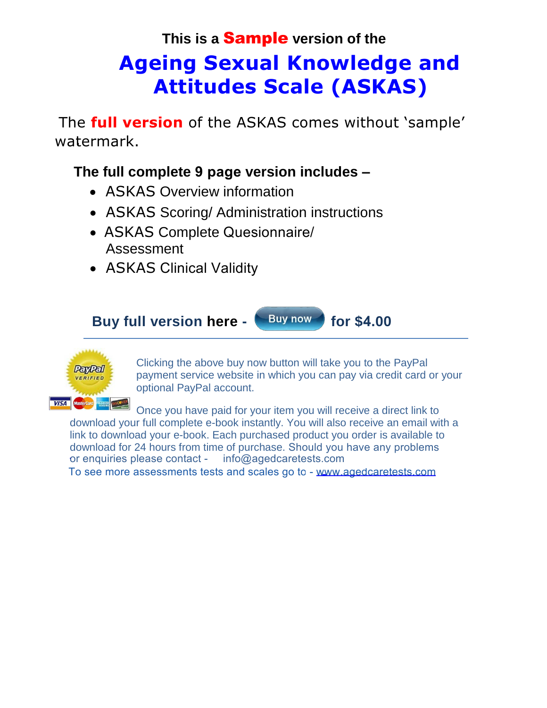# **This is a** Sample **version of the Ageing Sexual Knowledge andAttitudes Scale (ASKAS)**

watermark. . The **full version** of the ASKAS comes without 'sample'

## **The full complete 9 page version includes –**

- ASKAS Overview information
- ASKAS Scoring/ Administration instructions
- ASKAS Complete Quesionnaire/ Assessment
- ASKAS Clinical Validity

**Buy full version here - for \$4.00**



Clicking the above buy now button will take you to the PayPal payment service website in which you can pay via credit card or your optional PayPal account.

Once you have paid for your item you will receive a direct link to download your full complete e-book instantly. You will also receive an email with a link to download your e-book. Each purchased product you order is available to download for 24 hours from time of purchase. Should you have any problems or enquiries please contact - info@agedcaretests.com To see more assessments tests and scales go to - [www.agedcaretests.com](http://agedcaretests.com/)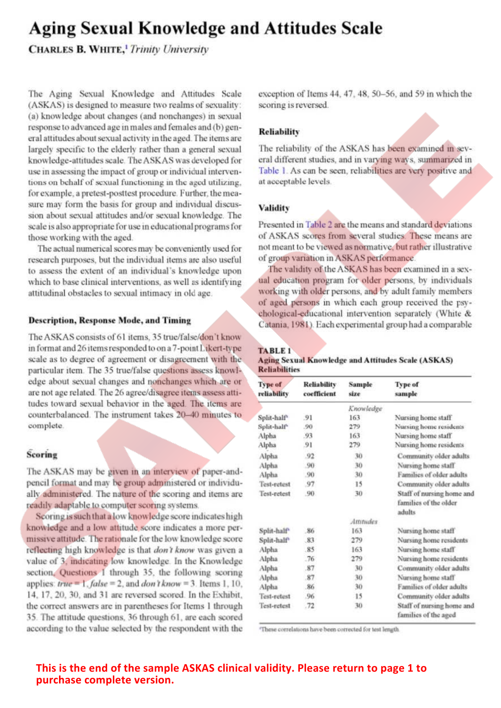# **Aging Sexual Knowledge and Attitudes Scale**

**CHARLES B. WHITE,<sup>1</sup> Trinity University** 

The Aging Sexual Knowledge and Attitudes Scale (ASKAS) is designed to measure two realms of sexuality: (a) knowledge about changes (and nonchanges) in sexual response to advanced age in males and females and (b) general attitudes about sexual activity in the aged. The items are largely specific to the elderly rather than a general sexual knowledge-attitudes scale. The ASKAS was developed for use in assessing the impact of group or individual interventions on behalf of sexual functioning in the aged utilizing, for example, a pretest-posttest procedure. Further, the measure may form the basis for group and individual discussion about sexual attitudes and/or sexual knowledge. The scale is also appropriate for use in educational programs for those working with the aged.

The actual numerical scores may be conveniently used for research purposes, but the individual items are also useful to assess the extent of an individual's knowledge upon which to base clinical interventions, as well as identifying attitudinal obstacles to sexual intimacy in old age.

#### **Description, Response Mode, and Timing**

The ASKAS consists of 61 items, 35 true/false/don't know in format and 26 items responded to on a 7-point Likert-type scale as to degree of agreement or disagreement with the particular item. The 35 true/false questions assess knowledge about sexual changes and nonchanges which are or are not age related. The 26 agree/disagree items assess attitudes toward sexual behavior in the aged. The items are counterbalanced. The instrument takes 20-40 minutes to complete.

### **Scoring**

The ASKAS may be given in an interview of paper-andpencil format and may be group administered or individually administered. The nature of the scoring and items are readily adaptable to computer scoring systems.

Scoring is such that a low knowledge score indicates high knowledge and a low attitude score indicates a more permissive attitude. The rationale for the low knowledge score reflecting high knowledge is that *don't know* was given a value of 3, indicating low knowledge. In the Knowledge section, Questions 1 through 35, the following scoring applies:  $true = 1$ ,  $false = 2$ , and  $don't know = 3$ . Items 1, 10, 14, 17, 20, 30, and 31 are reversed scored. In the Exhibit, the correct answers are in parentheses for Items 1 through 35. The attitude questions, 36 through 61, are each scored according to the value selected by the respondent with the exception of Items 44, 47, 48, 50–56, and 59 in which the scoring is reversed.

### **Reliability**

The reliability of the ASKAS has been examined in several different studies, and in varying ways, summarized in Table 1. As can be seen, reliabilities are very positive and at acceptable levels.

### Validity

Presented in Table 2 are the means and standard deviations of ASKAS scores from several studies. These means are not meant to be viewed as normative, but rather illustrative of group variation in ASKAS performance.

The validity of the ASKAS has been examined in a sexual education program for older persons, by individuals working with older persons, and by adult family members of aged persons in which each group received the psychological-educational intervention separately (White & Catania, 1981). Each experimental group had a comparable

### TABLE 1

|                      |  | <b>Aging Sexual Knowledge and Attitudes Scale (ASKAS)</b> |  |
|----------------------|--|-----------------------------------------------------------|--|
| <b>Reliabilities</b> |  |                                                           |  |

| Type of<br>reliability  | <b>Reliability</b><br>coefficient | Sample<br>size | Type of<br>sample                                            |
|-------------------------|-----------------------------------|----------------|--------------------------------------------------------------|
|                         |                                   | Knowledge      |                                                              |
| Split-half <sup>*</sup> | :91                               | 163            | Nursing home staff                                           |
| Split-half <sup>*</sup> | .90                               | 279            | Nursing home residents                                       |
| Alpha                   | .93                               | 163            | Nursing home staff                                           |
| Alpha                   | .91                               | 279            | Nursing home residents                                       |
| Alpha                   | .92                               | 30             | Community older adults                                       |
| Alpha                   | .90                               | 30             | Nursing home staff                                           |
| Alpha                   | .90                               | 30             | Families of older adults                                     |
| Test-retest             | .97                               | 15             | Community older adults                                       |
| Test-retest             | .90                               | 30             | Staff of nursing home and<br>families of the older<br>adults |
|                         |                                   | Attitudes      |                                                              |
| Split-half              | 86                                | 163            | Nursing home staff                                           |
| Split-half <sup>b</sup> | .83                               | 279            | Nursing home residents                                       |
| Alpha                   | .85                               | 163            | Nursing home staff                                           |
| Alpha                   | .76                               | 279            | Nursing home residents                                       |
| Alpha                   | .87                               | 30             | Community older adults                                       |
| Alpha                   | .87                               | 30             | Nursing home staff                                           |
| Alpha                   | .86                               | 30             | Families of older adults                                     |
| Test-retest             | .96                               | 15             | Community older adults                                       |
| Test-retest             | .72                               | 30             | Staff of nursing home and<br>families of the aged            |

'These correlations have been corrected for test length.

## This is the end of the sample ASKAS clinical validity. Please return to page 1 to purchase complete version.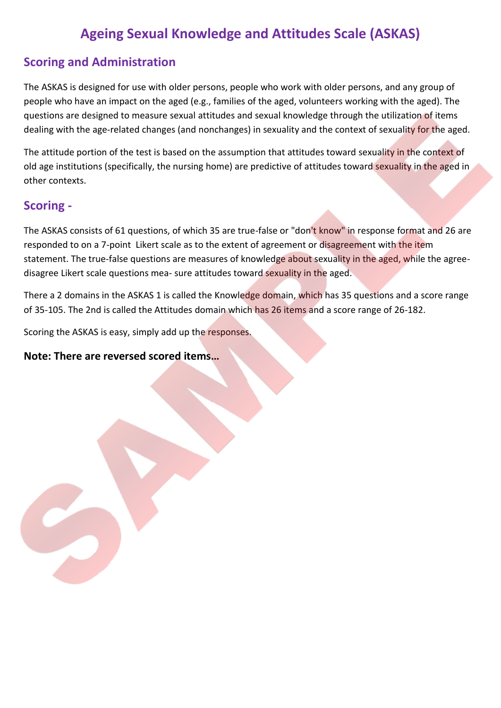## **Ageing Sexual Knowledge and Attitudes Scale (ASKAS)**

## **Scoring and Administration**

The ASKAS is designed for use with older persons, people who work with older persons, and any group of people who have an impact on the aged (e.g., families of the aged, volunteers working with the aged). The questions are designed to measure sexual attitudes and sexual knowledge through the utilization of items dealing with the age-related changes (and nonchanges) in sexuality and the context of sexuality for the aged.

The attitude portion of the test is based on the assumption that attitudes toward sexuality in the context of old age institutions (specifically, the nursing home) are predictive of attitudes toward sexuality in the aged in other contexts.

## **Scoring -**

The ASKAS consists of 61 questions, of which 35 are true-false or "don't know" in response format and 26 are responded to on a 7-point Likert scale as to the extent of agreement or disagreement with the item statement. The true-false questions are measures of knowledge about sexuality in the aged, while the agreedisagree Likert scale questions mea- sure attitudes toward sexuality in the aged.

There a 2 domains in the ASKAS 1 is called the Knowledge domain, which has 35 questions and a score range of 35-105. The 2nd is called the Attitudes domain which has 26 items and a score range of 26-182.

Scoring the ASKAS is easy, simply add up the responses.

## **Note: There are reversed scored items…**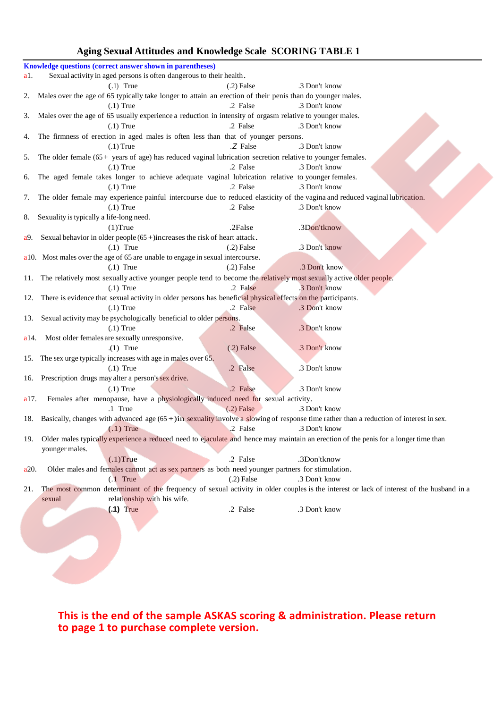## **Aging Sexual Attitudes and Knowledge Scale SCORING TABLE 1**

|      | Knowledge questions (correct answer shown in parentheses)                                                                                     |              |               |
|------|-----------------------------------------------------------------------------------------------------------------------------------------------|--------------|---------------|
| a1.  | Sexual activity in aged persons is often dangerous to their health.                                                                           |              |               |
|      | $(1)$ True                                                                                                                                    | $(.2)$ False | .3 Don't know |
| 2.   | Males over the age of 65 typically take longer to attain an erection of their penis than do younger males.                                    |              |               |
|      | $(.1)$ True                                                                                                                                   | .2 False     | .3 Don't know |
| 3.   | Males over the age of 65 usually experience a reduction in intensity of orgasm relative to younger males.                                     |              |               |
|      | $(.1)$ True                                                                                                                                   | .2 False     | .3 Don't know |
| 4.   | The firmness of erection in aged males is often less than that of younger persons.                                                            |              |               |
|      | $(0.1)$ True                                                                                                                                  | .Z False     | .3 Don't know |
| 5.   | The older female $(65 + \text{ years of age})$ has reduced vaginal lubrication secretion relative to younger females.                         |              |               |
|      | $(.1)$ True                                                                                                                                   | .2 False     | .3 Don't know |
| 6.   | The aged female takes longer to achieve adequate vaginal lubrication relative to younger females.                                             |              |               |
|      | $(0.1)$ True                                                                                                                                  | .2 False     | .3 Don't know |
| 7.   | The older female may experience painful intercourse due to reduced elasticity of the vagina and reduced vaginal lubrication.                  |              |               |
|      | $(.1)$ True                                                                                                                                   | .2 False     | .3 Don't know |
|      | Sexuality is typically a life-long need.                                                                                                      |              |               |
| 8.   | $(1)$ True                                                                                                                                    | .2False      | .3Don'tknow   |
|      | Sexual behavior in older people $(65+)$ increases the risk of heart attack.                                                                   |              |               |
| a9.  |                                                                                                                                               |              |               |
|      | $(0.1)$ True                                                                                                                                  | $(.2)$ False | .3 Don't know |
|      | a10. Most males over the age of 65 are unable to engage in sexual intercourse.                                                                |              |               |
|      | $(0.1)$ True                                                                                                                                  | $(.2)$ False | .3 Don't know |
|      | 11. The relatively most sexually active younger people tend to become the relatively most sexually active older people.                       |              |               |
|      | $(.1)$ True                                                                                                                                   | .2 False     | .3 Don't know |
| 12.  | There is evidence that sexual activity in older persons has beneficial physical effects on the participants.                                  |              |               |
|      | $(.1)$ True                                                                                                                                   | .2 False     | .3 Don't know |
| 13.  | Sexual activity may be psychologically beneficial to older persons.                                                                           |              |               |
|      | $(0.1)$ True                                                                                                                                  | .2 False     | .3 Don't know |
|      | a14. Most older females are sexually unresponsive.                                                                                            |              |               |
|      | $(1)$ True                                                                                                                                    | $(.2)$ False | .3 Don't know |
|      | 15. The sex urge typically increases with age in males over 65.                                                                               |              |               |
|      | $(0.1)$ True                                                                                                                                  | .2 False     | .3 Don't know |
|      | 16. Prescription drugs may alter a person's sex drive.                                                                                        |              |               |
|      | $(0.1)$ True                                                                                                                                  | .2 False     | .3 Don't know |
| a17. | Females after menopause, have a physiologically induced need for sexual activity.                                                             |              |               |
|      | .1 True                                                                                                                                       | $(.2)$ False | .3 Don't know |
|      | 18. Basically, changes with advanced age $(65 +)$ in sexuality involve a slowing of response time rather than a reduction of interest in sex. |              |               |
|      | $(.1)$ True                                                                                                                                   | .2 False     | .3 Don't know |
|      | 19. Older males typically experience a reduced need to ejaculate and hence may maintain an erection of the penis for a longer time than       |              |               |
|      | younger males.                                                                                                                                |              |               |
|      | $(.1)$ True                                                                                                                                   | .2 False     | .3Don'tknow   |
| a20. | Older males and females cannot act as sex partners as both need younger partners for stimulation.                                             |              |               |
|      | $(0.1)$ True                                                                                                                                  | $(.2)$ False | .3 Don't know |
| 21.  | The most common determinant of the frequency of sexual activity in older couples is the interest or lack of interest of the husband in a      |              |               |
|      | relationship with his wife.<br>sexual                                                                                                         |              |               |
|      | $(0.1)$ True                                                                                                                                  | .2 False     | .3 Don't know |
|      |                                                                                                                                               |              |               |
|      |                                                                                                                                               |              |               |
|      |                                                                                                                                               |              |               |
|      |                                                                                                                                               |              |               |
|      |                                                                                                                                               |              |               |
|      |                                                                                                                                               |              |               |
|      |                                                                                                                                               |              |               |
|      |                                                                                                                                               |              |               |

#### **This to page 1 to purchase complete version. is the end of the sample ASKAS scoring & administration. Please return**